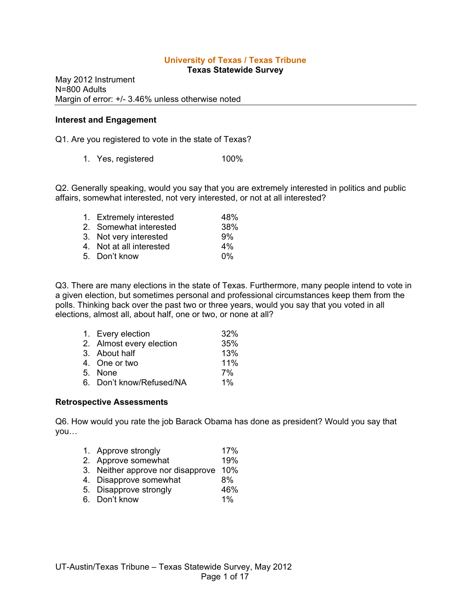# **University of Texas / Texas Tribune**

**Texas Statewide Survey**

May 2012 Instrument N=800 Adults Margin of error: +/- 3.46% unless otherwise noted

#### **Interest and Engagement**

Q1. Are you registered to vote in the state of Texas?

1. Yes, registered 100%

Q2. Generally speaking, would you say that you are extremely interested in politics and public affairs, somewhat interested, not very interested, or not at all interested?

| 1. Extremely interested  | 48%   |
|--------------------------|-------|
| 2. Somewhat interested   | 38%   |
| 3. Not very interested   | 9%    |
| 4. Not at all interested | $4\%$ |
| 5. Don't know            | $0\%$ |

Q3. There are many elections in the state of Texas. Furthermore, many people intend to vote in a given election, but sometimes personal and professional circumstances keep them from the polls. Thinking back over the past two or three years, would you say that you voted in all elections, almost all, about half, one or two, or none at all?

| 1. Every election        | 32%   |
|--------------------------|-------|
| 2. Almost every election | 35%   |
| 3. About half            | 13%   |
| 4. One or two            | 11%   |
| 5. None                  | 7%    |
| 6. Don't know/Refused/NA | $1\%$ |

#### **Retrospective Assessments**

Q6. How would you rate the job Barack Obama has done as president? Would you say that you…

- 1. Approve strongly 17%
- 2. Approve somewhat 19%
- 3. Neither approve nor disapprove 10%
- 4. Disapprove somewhat 8%
- 5. Disapprove strongly 46%
- 6. Don't know 1%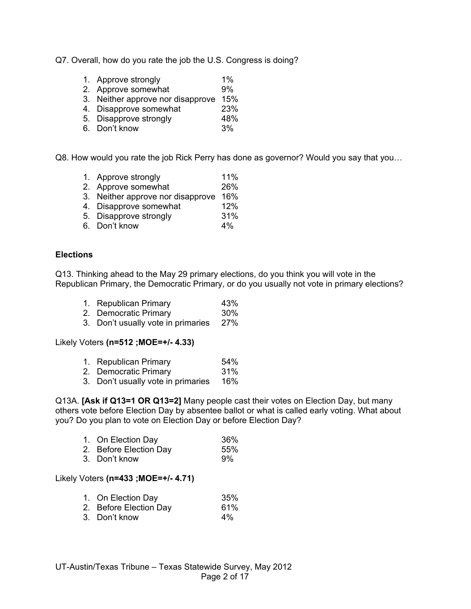- Q7. Overall, how do you rate the job the U.S. Congress is doing?
	- 1. Approve strongly  $1\%$ <br>2. Approve somewhat  $9\%$
	- 2. Approve somewhat
	- 3. Neither approve nor disapprove 15%
	- 4. Disapprove somewhat 23%
	- 5. Disapprove strongly 48%
	- 6. Don't know 3%

Q8. How would you rate the job Rick Perry has done as governor? Would you say that you…

- 1. Approve strongly 11%
- 2. Approve somewhat 26%
- 3. Neither approve nor disapprove 16%
- 4. Disapprove somewhat 12%<br>5. Disapprove strongly 131%
- 5. Disapprove strongly
- 6. Don't know 4%

#### **Elections**

Q13. Thinking ahead to the May 29 primary elections, do you think you will vote in the Republican Primary, the Democratic Primary, or do you usually not vote in primary elections?

- 1. Republican Primary **43%**<br>2. Democratic Primary **1998** 430%
- 2. Democratic Primary
- 3. Don't usually vote in primaries 27%

#### Likely Voters **(n=512 ;MOE=+/- 4.33)**

- 1. Republican Primary 64%
- 2. Democratic Primary 31%
- 3. Don't usually vote in primaries 16%

Q13A. **[Ask if Q13=1 OR Q13=2]** Many people cast their votes on Election Day, but many others vote before Election Day by absentee ballot or what is called early voting. What about you? Do you plan to vote on Election Day or before Election Day?

| 1. On Election Day     | 36% |
|------------------------|-----|
| 2. Before Election Day | 55% |
| 3. Don't know          | 9%  |

#### Likely Voters **(n=433 ;MOE=+/- 4.71)**

| 1. On Election Day     | 35%   |
|------------------------|-------|
| 2. Before Election Day | 61%   |
| 3. Don't know          | $4\%$ |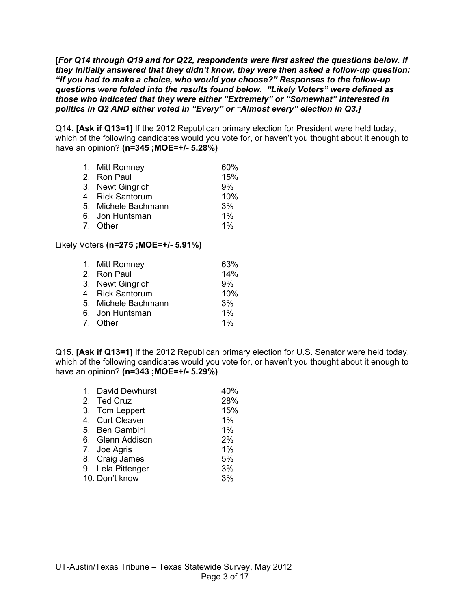**[***For Q14 through Q19 and for Q22, respondents were first asked the questions below. If they initially answered that they didn't know, they were then asked a follow-up question: "If you had to make a choice, who would you choose?" Responses to the follow-up questions were folded into the results found below. "Likely Voters" were defined as those who indicated that they were either "Extremely" or "Somewhat" interested in politics in Q2 AND either voted in "Every" or "Almost every" election in Q3.]*

Q14. **[Ask if Q13=1]** If the 2012 Republican primary election for President were held today, which of the following candidates would you vote for, or haven't you thought about it enough to have an opinion? **(n=345 ;MOE=+/- 5.28%)**

- 1. Mitt Romney 60%
- 2. Ron Paul 15%
- 3. Newt Gingrich 9%
- 4. Rick Santorum 10%
- 5. Michele Bachmann 3%<br>6. Jon Huntsman 6. 1%
- 6. Jon Huntsman 1%<br>7. Other 1%
- 7. Other

## Likely Voters **(n=275 ;MOE=+/- 5.91%)**

| 14%   |
|-------|
| 9%    |
| 10%   |
| 3%    |
| $1\%$ |
| $1\%$ |
|       |

Q15. **[Ask if Q13=1]** If the 2012 Republican primary election for U.S. Senator were held today, which of the following candidates would you vote for, or haven't you thought about it enough to have an opinion? **(n=343 ;MOE=+/- 5.29%)**

| 1. David Dewhurst | 40%   |
|-------------------|-------|
| 2. Ted Cruz       | 28%   |
| 3. Tom Leppert    | 15%   |
| 4. Curt Cleaver   | $1\%$ |
| 5. Ben Gambini    | 1%    |
| 6. Glenn Addison  | 2%    |
| 7. Joe Agris      | 1%    |
| 8. Craig James    | 5%    |
| 9. Lela Pittenger | 3%    |
| 10. Don't know    | 3%    |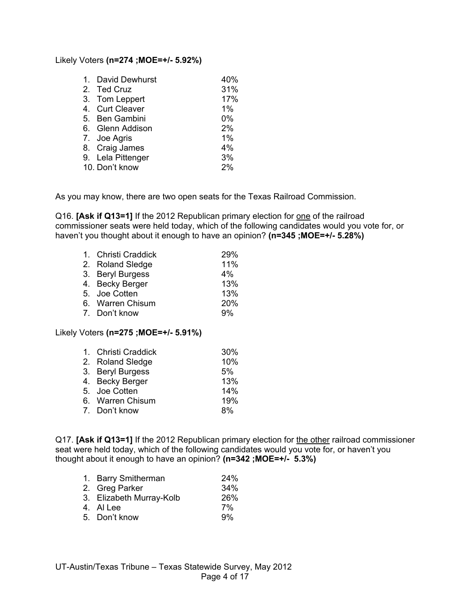#### Likely Voters **(n=274 ;MOE=+/- 5.92%)**

| 1. David Dewhurst | 40% |
|-------------------|-----|
| 2. Ted Cruz       | 31% |
| 3. Tom Leppert    | 17% |
| 4. Curt Cleaver   | 1%  |
| 5. Ben Gambini    | 0%  |
| 6. Glenn Addison  | 2%  |
| 7. Joe Agris      | 1%  |
| 8. Craig James    | 4%  |
| 9. Lela Pittenger | 3%  |
| 10. Don't know    | 2%  |

As you may know, there are two open seats for the Texas Railroad Commission.

Q16. **[Ask if Q13=1]** If the 2012 Republican primary election for one of the railroad commissioner seats were held today, which of the following candidates would you vote for, or haven't you thought about it enough to have an opinion? **(n=345 ;MOE=+/- 5.28%)**

| 1. Christi Craddick | 29%   |
|---------------------|-------|
| 2. Roland Sledge    | 11%   |
| 3. Beryl Burgess    | $4\%$ |
| 4. Becky Berger     | 13%   |
| 5. Joe Cotten       | 13%   |
| 6. Warren Chisum    | 20%   |
| 7. Don't know       | 9%    |

## Likely Voters **(n=275 ;MOE=+/- 5.91%)**

| 1. Christi Craddick | 30% |
|---------------------|-----|
| 2. Roland Sledge    | 10% |
| 3. Beryl Burgess    | 5%  |
| 4. Becky Berger     | 13% |
| 5. Joe Cotten       | 14% |
| 6. Warren Chisum    | 19% |
| 7. Don't know       | 8%  |

Q17. **[Ask if Q13=1]** If the 2012 Republican primary election for the other railroad commissioner seat were held today, which of the following candidates would you vote for, or haven't you thought about it enough to have an opinion? **(n=342 ;MOE=+/- 5.3%)**

| 1. Barry Smitherman      | 24% |
|--------------------------|-----|
| 2. Greg Parker           | 34% |
| 3. Elizabeth Murray-Kolb | 26% |
| 4. Al Lee                | 7%  |
| 5. Don't know            | 9%  |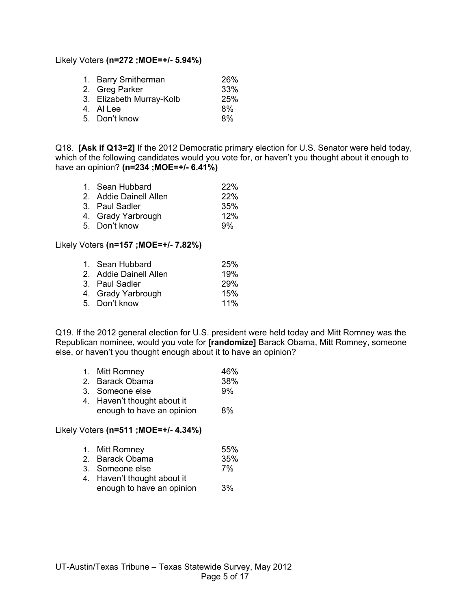### Likely Voters **(n=272 ;MOE=+/- 5.94%)**

| 1. Barry Smitherman      | <b>26%</b> |
|--------------------------|------------|
| 2. Greg Parker           | 33%        |
| 3. Elizabeth Murray-Kolb | 25%        |
| 4. Al Lee                | 8%         |
| 5. Don't know            | 8%         |
|                          |            |

Q18. **[Ask if Q13=2]** If the 2012 Democratic primary election for U.S. Senator were held today, which of the following candidates would you vote for, or haven't you thought about it enough to have an opinion? **(n=234 ;MOE=+/- 6.41%)**

| 1. Sean Hubbard        | 22% |
|------------------------|-----|
| 2. Addie Dainell Allen | 22% |
| 3. Paul Sadler         | 35% |
| 4. Grady Yarbrough     | 12% |
| 5. Don't know          | .9% |

## Likely Voters **(n=157 ;MOE=+/- 7.82%)**

| 1. Sean Hubbard        | <b>25%</b> |
|------------------------|------------|
| 2. Addie Dainell Allen | 19%        |
| 3. Paul Sadler         | <b>29%</b> |
| 4. Grady Yarbrough     | 15%        |
| 5. Don't know          | 11%        |
|                        |            |

Q19. If the 2012 general election for U.S. president were held today and Mitt Romney was the Republican nominee, would you vote for **[randomize]** Barack Obama, Mitt Romney, someone else, or haven't you thought enough about it to have an opinion?

|                       | 1. Mitt Romney    | 46%  |
|-----------------------|-------------------|------|
| $\tilde{\phantom{a}}$ | Dese als Olandeae | nnn/ |

| 2. Barack Obama | 38% |
|-----------------|-----|
| 3. Someone else | 9%  |
| .               |     |

4. Haven't thought about it enough to have an opinion 8%

#### Likely Voters **(n=511 ;MOE=+/- 4.34%)**

| 1. | Mitt Romney | 55% |
|----|-------------|-----|
|----|-------------|-----|

- 2. Barack Obama 35%
- 3. Someone else 7%
- 4. Haven't thought about it enough to have an opinion 3%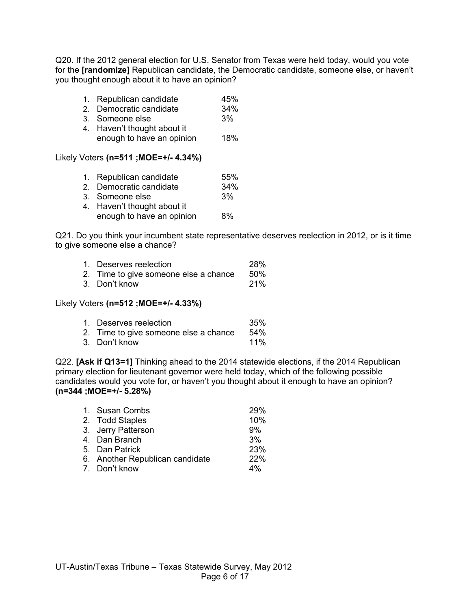Q20. If the 2012 general election for U.S. Senator from Texas were held today, would you vote for the **[randomize]** Republican candidate, the Democratic candidate, someone else, or haven't you thought enough about it to have an opinion?

|  | Republican candidate | 45% |
|--|----------------------|-----|
|  |                      |     |

- 2. Democratic candidate 34%
- 3. Someone else 3%
- 4. Haven't thought about it enough to have an opinion 18%

## Likely Voters **(n=511 ;MOE=+/- 4.34%)**

| 1. Republican candidate     | 55% |
|-----------------------------|-----|
| 2. Democratic candidate     | 34% |
| 3. Someone else             | 3%  |
| 4. Haven't thought about it |     |
| enough to have an opinion   | 8%  |

Q21. Do you think your incumbent state representative deserves reelection in 2012, or is it time to give someone else a chance?

| 1. Deserves reelection                | <b>28%</b> |
|---------------------------------------|------------|
| 2. Time to give someone else a chance | .50%       |
| 3. Don't know                         | <b>21%</b> |

#### Likely Voters **(n=512 ;MOE=+/- 4.33%)**

| 1. Deserves reelection                | 35%    |
|---------------------------------------|--------|
| 2. Time to give someone else a chance | $54\%$ |
| 3. Don't know                         | $11\%$ |

Q22. **[Ask if Q13=1]** Thinking ahead to the 2014 statewide elections, if the 2014 Republican primary election for lieutenant governor were held today, which of the following possible candidates would you vote for, or haven't you thought about it enough to have an opinion? **(n=344 ;MOE=+/- 5.28%)**

| 1. Susan Combs                  | 29% |
|---------------------------------|-----|
| 2. Todd Staples                 | 10% |
| 3. Jerry Patterson              | 9%  |
| 4. Dan Branch                   | 3%  |
| 5. Dan Patrick                  | 23% |
| 6. Another Republican candidate | 22% |
| 7. Don't know                   | 4%  |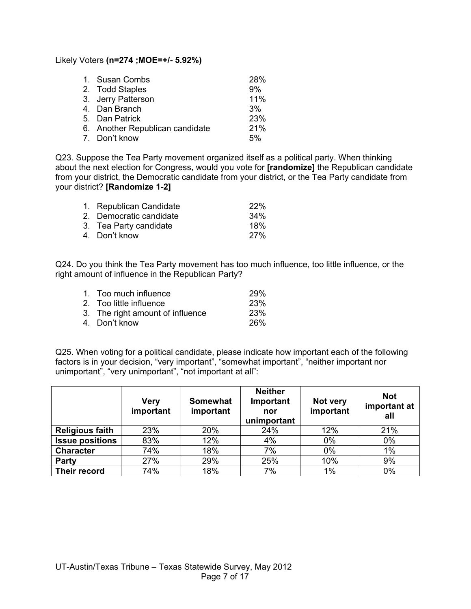Likely Voters **(n=274 ;MOE=+/- 5.92%)**

| 1. Susan Combs                  | 28% |
|---------------------------------|-----|
| 2. Todd Staples                 | 9%  |
| 3. Jerry Patterson              | 11% |
| 4. Dan Branch                   | 3%  |
| 5. Dan Patrick                  | 23% |
| 6. Another Republican candidate | 21% |
| 7. Don't know                   | 5%  |

Q23. Suppose the Tea Party movement organized itself as a political party. When thinking about the next election for Congress, would you vote for **[randomize]** the Republican candidate from your district, the Democratic candidate from your district, or the Tea Party candidate from your district? **[Randomize 1-2]**

| 1. Republican Candidate | <b>22%</b> |
|-------------------------|------------|
| 2. Democratic candidate | 34%        |
| 3. Tea Party candidate  | 18%        |
| 4. Don't know           | 27%        |

Q24. Do you think the Tea Party movement has too much influence, too little influence, or the right amount of influence in the Republican Party?

| 1. Too much influence            | <b>29%</b> |
|----------------------------------|------------|
| 2. Too little influence          | <b>23%</b> |
| 3. The right amount of influence | <b>23%</b> |
| 4. Don't know                    | <b>26%</b> |
|                                  |            |

Q25. When voting for a political candidate, please indicate how important each of the following factors is in your decision, "very important", "somewhat important", "neither important nor unimportant", "very unimportant", "not important at all":

|                        | <b>Very</b><br>important | Somewhat<br>important | <b>Neither</b><br>Important<br>nor<br>unimportant | Not very<br>important | <b>Not</b><br>important at<br>all |
|------------------------|--------------------------|-----------------------|---------------------------------------------------|-----------------------|-----------------------------------|
| <b>Religious faith</b> | 23%                      | 20%                   | 24%                                               | 12%                   | 21%                               |
| <b>Issue positions</b> | 83%                      | 12%                   | 4%                                                | 0%                    | $0\%$                             |
| <b>Character</b>       | 74%                      | 18%                   | 7%                                                | 0%                    | 1%                                |
| Party                  | 27%                      | 29%                   | 25%                                               | 10%                   | 9%                                |
| Their record           | 74%                      | 18%                   | 7%                                                | $1\%$                 | 0%                                |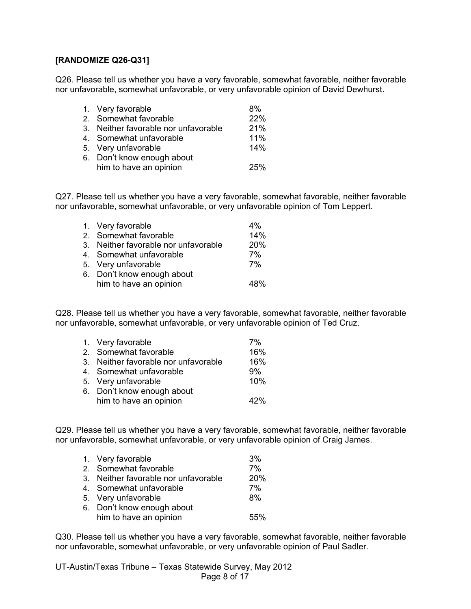## **[RANDOMIZE Q26-Q31]**

Q26. Please tell us whether you have a very favorable, somewhat favorable, neither favorable nor unfavorable, somewhat unfavorable, or very unfavorable opinion of David Dewhurst.

| 1. Very favorable                    | 8%         |
|--------------------------------------|------------|
| 2. Somewhat favorable                | 22%        |
| 3. Neither favorable nor unfavorable | 21%        |
| 4. Somewhat unfavorable              | 11%        |
| 5. Very unfavorable                  | 14%        |
| 6. Don't know enough about           |            |
| him to have an opinion               | <b>25%</b> |

Q27. Please tell us whether you have a very favorable, somewhat favorable, neither favorable nor unfavorable, somewhat unfavorable, or very unfavorable opinion of Tom Leppert.

| 1. Very favorable                    | $4\%$      |
|--------------------------------------|------------|
| 2. Somewhat favorable                | 14%        |
| 3. Neither favorable nor unfavorable | <b>20%</b> |
| 4. Somewhat unfavorable              | 7%         |
| 5. Very unfavorable                  | 7%         |
| 6. Don't know enough about           |            |
| him to have an opinion               | 48%        |
|                                      |            |

Q28. Please tell us whether you have a very favorable, somewhat favorable, neither favorable nor unfavorable, somewhat unfavorable, or very unfavorable opinion of Ted Cruz.

| 1. Very favorable                    | 7%  |
|--------------------------------------|-----|
| 2. Somewhat favorable                | 16% |
| 3. Neither favorable nor unfavorable | 16% |
| 4. Somewhat unfavorable              | 9%  |
| 5. Very unfavorable                  | 10% |
| 6. Don't know enough about           |     |
| him to have an opinion               | 42% |

Q29. Please tell us whether you have a very favorable, somewhat favorable, neither favorable nor unfavorable, somewhat unfavorable, or very unfavorable opinion of Craig James.

| 1. Very favorable                    | 3%  |
|--------------------------------------|-----|
| 2. Somewhat favorable                | 7%  |
| 3. Neither favorable nor unfavorable | 20% |
| 4. Somewhat unfavorable              | 7%  |
| 5. Very unfavorable                  | 8%  |
| 6. Don't know enough about           |     |
| him to have an opinion               | 55% |

Q30. Please tell us whether you have a very favorable, somewhat favorable, neither favorable nor unfavorable, somewhat unfavorable, or very unfavorable opinion of Paul Sadler.

UT-Austin/Texas Tribune – Texas Statewide Survey, May 2012 Page 8 of 17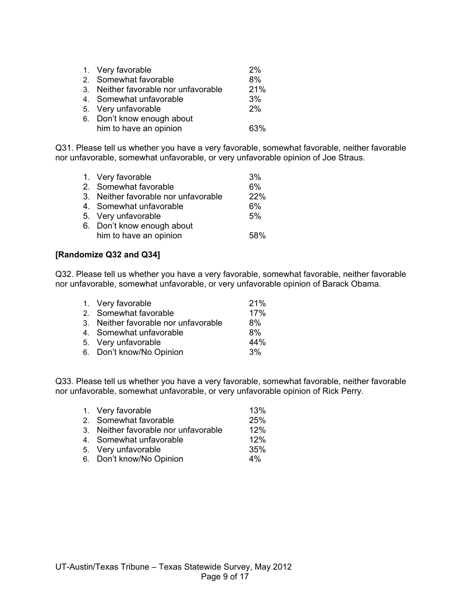| 1. Very favorable                    | 2%  |
|--------------------------------------|-----|
| 2. Somewhat favorable                | 8%  |
| 3. Neither favorable nor unfavorable | 21% |
| 4. Somewhat unfavorable              | 3%  |
| 5. Very unfavorable                  | 2%  |
| 6. Don't know enough about           |     |
| him to have an opinion               | 63% |

Q31. Please tell us whether you have a very favorable, somewhat favorable, neither favorable nor unfavorable, somewhat unfavorable, or very unfavorable opinion of Joe Straus.

| 1. Very favorable                    | 3%  |
|--------------------------------------|-----|
| 2. Somewhat favorable                | 6%  |
| 3. Neither favorable nor unfavorable | 22% |
| 4. Somewhat unfavorable              | 6%  |
| 5. Very unfavorable                  | 5%  |
| 6. Don't know enough about           |     |
| him to have an opinion               | 58% |

## **[Randomize Q32 and Q34]**

Q32. Please tell us whether you have a very favorable, somewhat favorable, neither favorable nor unfavorable, somewhat unfavorable, or very unfavorable opinion of Barack Obama.

| 1. Very favorable                    | 21% |
|--------------------------------------|-----|
| 2. Somewhat favorable                | 17% |
| 3. Neither favorable nor unfavorable | 8%  |
| 4. Somewhat unfavorable              | 8%  |
| 5. Very unfavorable                  | 44% |
| 6. Don't know/No Opinion             | 3%  |
|                                      |     |

Q33. Please tell us whether you have a very favorable, somewhat favorable, neither favorable nor unfavorable, somewhat unfavorable, or very unfavorable opinion of Rick Perry.

| 1. Very favorable                    | 13%   |
|--------------------------------------|-------|
| 2. Somewhat favorable                | 25%   |
| 3. Neither favorable nor unfavorable | 12%   |
| 4. Somewhat unfavorable              | 12%   |
| 5. Very unfavorable                  | 35%   |
| 6. Don't know/No Opinion             | $4\%$ |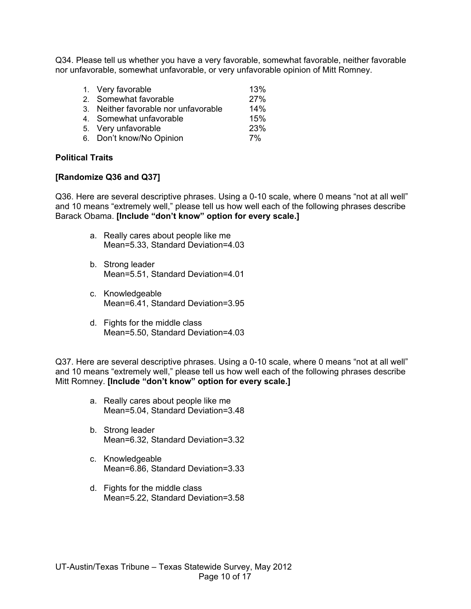Q34. Please tell us whether you have a very favorable, somewhat favorable, neither favorable nor unfavorable, somewhat unfavorable, or very unfavorable opinion of Mitt Romney.

| 1. Very favorable                    | 13% |
|--------------------------------------|-----|
| 2. Somewhat favorable                | 27% |
| 3. Neither favorable nor unfavorable | 14% |
| 4. Somewhat unfavorable              | 15% |
| 5. Very unfavorable                  | 23% |
| 6. Don't know/No Opinion             | 7%  |

## **Political Traits**

### **[Randomize Q36 and Q37]**

Q36. Here are several descriptive phrases. Using a 0-10 scale, where 0 means "not at all well" and 10 means "extremely well," please tell us how well each of the following phrases describe Barack Obama. **[Include "don't know" option for every scale.]**

- a. Really cares about people like me Mean=5.33, Standard Deviation=4.03
- b. Strong leader Mean=5.51, Standard Deviation=4.01
- c. Knowledgeable Mean=6.41, Standard Deviation=3.95
- d. Fights for the middle class Mean=5.50, Standard Deviation=4.03

Q37. Here are several descriptive phrases. Using a 0-10 scale, where 0 means "not at all well" and 10 means "extremely well," please tell us how well each of the following phrases describe Mitt Romney. **[Include "don't know" option for every scale.]**

- a. Really cares about people like me Mean=5.04, Standard Deviation=3.48
- b. Strong leader Mean=6.32, Standard Deviation=3.32
- c. Knowledgeable Mean=6.86, Standard Deviation=3.33
- d. Fights for the middle class Mean=5.22, Standard Deviation=3.58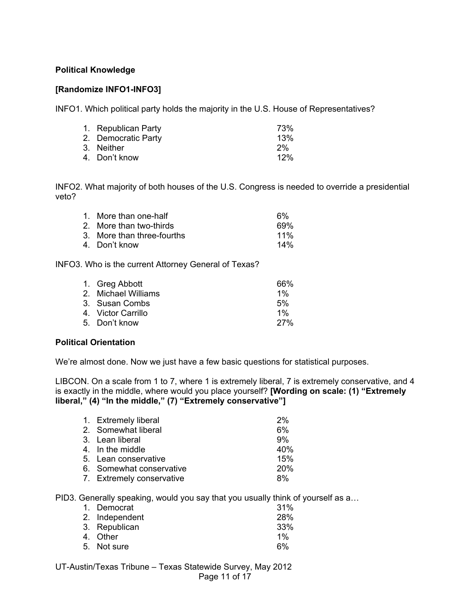## **Political Knowledge**

## **[Randomize INFO1-INFO3]**

INFO1. Which political party holds the majority in the U.S. House of Representatives?

| 1. Republican Party | 73% |
|---------------------|-----|
| 2. Democratic Party | 13% |
| 3. Neither          | 2%  |
| 4. Don't know       | 12% |

INFO2. What majority of both houses of the U.S. Congress is needed to override a presidential veto?

| 1. More than one-half      | 6%     |
|----------------------------|--------|
| 2. More than two-thirds    | 69%    |
| 3. More than three-fourths | $11\%$ |
| 4. Don't know              | 14%    |
|                            |        |

INFO3. Who is the current Attorney General of Texas?

| 1. Greg Abbott      | 66%        |
|---------------------|------------|
| 2. Michael Williams | $1\%$      |
| 3. Susan Combs      | 5%         |
| 4. Victor Carrillo  | $1\%$      |
| 5. Don't know       | <b>27%</b> |
|                     |            |

#### **Political Orientation**

We're almost done. Now we just have a few basic questions for statistical purposes.

LIBCON. On a scale from 1 to 7, where 1 is extremely liberal, 7 is extremely conservative, and 4 is exactly in the middle, where would you place yourself? **[Wording on scale: (1) "Extremely liberal," (4) "In the middle," (7) "Extremely conservative"]**

| 1. Extremely liberal      | 2%  |
|---------------------------|-----|
| 2. Somewhat liberal       | 6%  |
| 3. Lean liberal           | 9%  |
| 4. In the middle          | 40% |
| 5. Lean conservative      | 15% |
| 6. Somewhat conservative  | 20% |
| 7. Extremely conservative | 8%  |

PID3. Generally speaking, would you say that you usually think of yourself as a…

| 1. Democrat    | 31%        |
|----------------|------------|
| 2. Independent | <b>28%</b> |
| 3. Republican  | 33%        |
| 4. Other       | $1\%$      |
| 5. Not sure    | 6%         |

UT-Austin/Texas Tribune – Texas Statewide Survey, May 2012 Page 11 of 17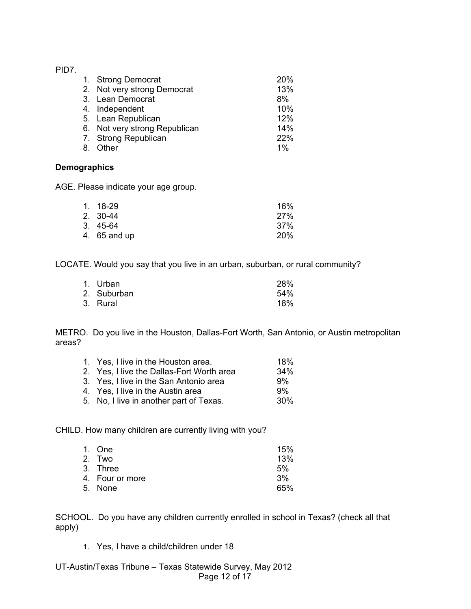## PID7.

| 1. Strong Democrat<br>2. Not very strong Democrat<br>3. Lean Democrat<br>4. Independent<br>5. Lean Republican | 20%<br>13%<br>8%<br>10%<br>12% |
|---------------------------------------------------------------------------------------------------------------|--------------------------------|
| 6. Not very strong Republican                                                                                 | 14%                            |
| 7. Strong Republican                                                                                          | 22%                            |
|                                                                                                               |                                |
| 8. Other                                                                                                      | $1\%$                          |

## **Demographics**

AGE. Please indicate your age group.

| 1. 18-29     | 16%        |
|--------------|------------|
| 2. 30-44     | <b>27%</b> |
| 3. 45-64     | 37%        |
| 4. 65 and up | 20%        |

LOCATE. Would you say that you live in an urban, suburban, or rural community?

| 1. Urban    | <b>28%</b> |
|-------------|------------|
| 2. Suburban | 54%        |
| 3. Rural    | 18%        |

METRO. Do you live in the Houston, Dallas-Fort Worth, San Antonio, or Austin metropolitan areas?

| 1. Yes, I live in the Houston area.       | 18% |
|-------------------------------------------|-----|
| 2. Yes, I live the Dallas-Fort Worth area | 34% |
| 3. Yes, I live in the San Antonio area    | 9%  |
| 4. Yes, I live in the Austin area         | 9%  |
| 5. No, I live in another part of Texas.   | 30% |

CHILD. How many children are currently living with you?

| 1. One          | 15% |
|-----------------|-----|
| 2. Two          | 13% |
| 3. Three        | 5%  |
| 4. Four or more | 3%  |
| 5. None         | 65% |
|                 |     |

SCHOOL. Do you have any children currently enrolled in school in Texas? (check all that apply)

1. Yes, I have a child/children under 18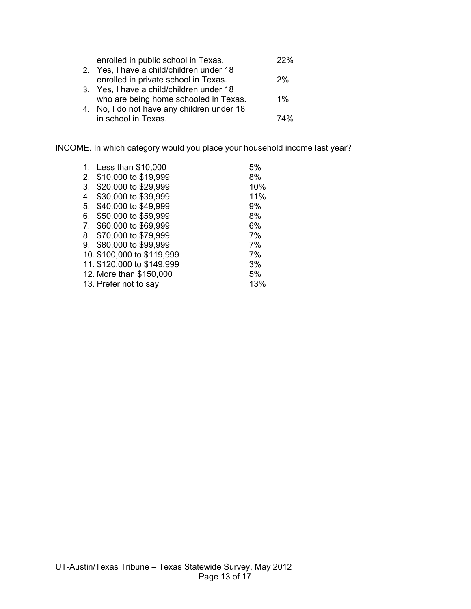| enrolled in public school in Texas.        | フフツ   |
|--------------------------------------------|-------|
| 2. Yes, I have a child/children under 18   |       |
| enrolled in private school in Texas.       | 2%    |
| 3. Yes, I have a child/children under 18   |       |
| who are being home schooled in Texas.      | $1\%$ |
| 4. No, I do not have any children under 18 |       |
| in school in Texas.                        | 74%   |

INCOME. In which category would you place your household income last year?

| 1. | Less than \$10,000         | 5%  |
|----|----------------------------|-----|
| 2. | \$10,000 to \$19,999       | 8%  |
| 3. | \$20,000 to \$29,999       | 10% |
| 4. | \$30,000 to \$39,999       | 11% |
| 5. | \$40,000 to \$49,999       | 9%  |
| 6. | \$50,000 to \$59,999       | 8%  |
| 7. | \$60,000 to \$69,999       | 6%  |
|    | 8. \$70,000 to \$79,999    | 7%  |
| 9. | \$80,000 to \$99,999       | 7%  |
|    | 10. \$100,000 to \$119,999 | 7%  |
|    | 11. \$120,000 to \$149,999 | 3%  |
|    | 12. More than \$150,000    | 5%  |
|    | 13. Prefer not to say      | 13% |
|    |                            |     |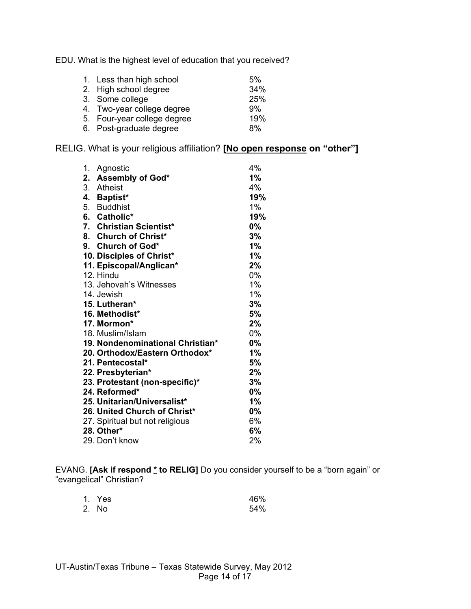EDU. What is the highest level of education that you received?

| 1. Less than high school    | 5%  |
|-----------------------------|-----|
| 2. High school degree       | 34% |
| 3. Some college             | 25% |
| 4. Two-year college degree  | 9%  |
| 5. Four-year college degree | 19% |
| 6. Post-graduate degree     | 8%  |

RELIG. What is your religious affiliation? **[No open response on "other"]**

| 1. | Agnostic                         | 4%    |
|----|----------------------------------|-------|
| 2. | Assembly of God*                 | $1\%$ |
|    | 3. Atheist                       | 4%    |
|    | 4. Baptist*                      | 19%   |
|    | 5. Buddhist                      | $1\%$ |
|    | 6. Catholic*                     | 19%   |
|    | 7. Christian Scientist*          | $0\%$ |
|    | 8. Church of Christ*             | 3%    |
|    | 9. Church of God*                | 1%    |
|    | 10. Disciples of Christ*         | 1%    |
|    | 11. Episcopal/Anglican*          | 2%    |
|    | 12. Hindu                        | 0%    |
|    | 13. Jehovah's Witnesses          | 1%    |
|    | 14. Jewish                       | 1%    |
|    | 15. Lutheran*                    | 3%    |
|    | 16. Methodist*                   | 5%    |
|    | 17. Mormon*                      | 2%    |
|    | 18. Muslim/Islam                 | 0%    |
|    | 19. Nondenominational Christian* | $0\%$ |
|    | 20. Orthodox/Eastern Orthodox*   | 1%    |
|    | 21. Pentecostal*                 | 5%    |
|    | 22. Presbyterian*                | 2%    |
|    | 23. Protestant (non-specific)*   | 3%    |
|    | 24. Reformed*                    | $0\%$ |
|    | 25. Unitarian/Universalist*      | 1%    |
|    | 26. United Church of Christ*     | $0\%$ |
|    | 27. Spiritual but not religious  | 6%    |
|    | 28. Other*                       | 6%    |
|    | 29. Don't know                   | 2%    |

EVANG. **[Ask if respond \* to RELIG]** Do you consider yourself to be a "born again" or "evangelical" Christian?

| 1. Yes | 46% |
|--------|-----|
| 2. No  | 54% |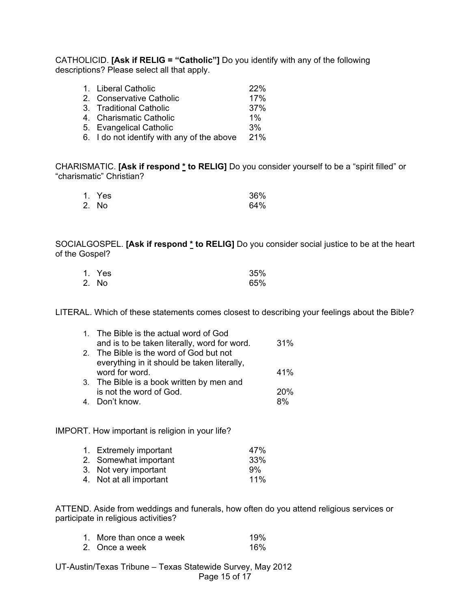CATHOLICID. **[Ask if RELIG = "Catholic"]** Do you identify with any of the following descriptions? Please select all that apply.

| 1. Liberal Catholic                        | 22%   |
|--------------------------------------------|-------|
| 2. Conservative Catholic                   | 17%   |
| 3. Traditional Catholic                    | 37%   |
| 4. Charismatic Catholic                    | $1\%$ |
| 5. Evangelical Catholic                    | 3%    |
| 6. I do not identify with any of the above | 21%   |

CHARISMATIC. **[Ask if respond \* to RELIG]** Do you consider yourself to be a "spirit filled" or "charismatic" Christian?

| 1. Yes | 36% |
|--------|-----|
| 2. No  | 64% |

SOCIALGOSPEL. **[Ask if respond \* to RELIG]** Do you consider social justice to be at the heart of the Gospel?

| 1. Yes | 35% |
|--------|-----|
| 2. No  | 65% |

LITERAL. Which of these statements comes closest to describing your feelings about the Bible?

| 1. The Bible is the actual word of God       |     |
|----------------------------------------------|-----|
| and is to be taken literally, word for word. | 31% |
| 2. The Bible is the word of God but not      |     |
| everything in it should be taken literally,  |     |
| word for word.                               | 41% |
| 3. The Bible is a book written by men and    |     |
| is not the word of God.                      | 20% |
| 4. Don't know.                               | ጸ%  |

IMPORT. How important is religion in your life?

| 1. Extremely important  | 47% |
|-------------------------|-----|
| 2. Somewhat important   | 33% |
| 3. Not very important   | 9%  |
| 4. Not at all important | 11% |

ATTEND. Aside from weddings and funerals, how often do you attend religious services or participate in religious activities?

| 1. More than once a week | 19% |
|--------------------------|-----|
| 2. Once a week           | 16% |

UT-Austin/Texas Tribune – Texas Statewide Survey, May 2012 Page 15 of 17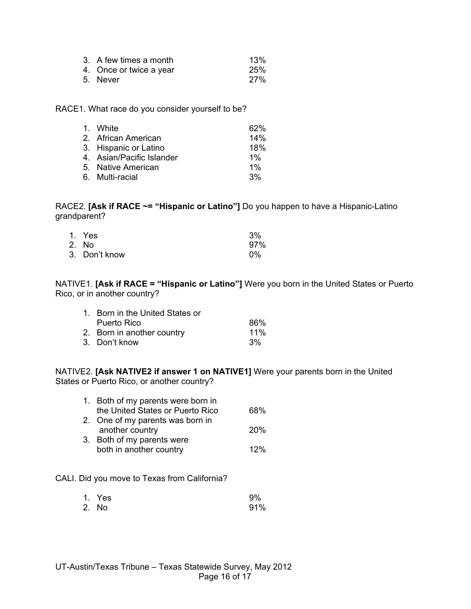| 3. A few times a month  | 13%        |
|-------------------------|------------|
| 4. Once or twice a year | 25%        |
| 5. Never                | <b>27%</b> |

RACE1. What race do you consider yourself to be?

| 1. White                  | 62%   |
|---------------------------|-------|
| 2. African American       | 14%   |
| 3. Hispanic or Latino     | 18%   |
| 4. Asian/Pacific Islander | $1\%$ |
| 5. Native American        | $1\%$ |
| 6. Multi-racial           | 3%    |

RACE2. **[Ask if RACE ~= "Hispanic or Latino"]** Do you happen to have a Hispanic-Latino grandparent?

| 1. Yes        | 3%    |
|---------------|-------|
| 2. No         | 97%   |
| 3. Don't know | $0\%$ |

NATIVE1. **[Ask if RACE = "Hispanic or Latino"]** Were you born in the United States or Puerto Rico, or in another country?

| 1. Born in the United States or |        |
|---------------------------------|--------|
| Puerto Rico                     | 86%    |
| 2. Born in another country      | $11\%$ |
| 3. Don't know                   | 3%     |

NATIVE2. **[Ask NATIVE2 if answer 1 on NATIVE1]** Were your parents born in the United States or Puerto Rico, or another country?

| 1. Both of my parents were born in |            |
|------------------------------------|------------|
| the United States or Puerto Rico   | 68%        |
| 2. One of my parents was born in   |            |
| another country                    | <b>20%</b> |
| 3. Both of my parents were         |            |
| both in another country            | 12%        |
|                                    |            |

CALI. Did you move to Texas from California?

| 1. Yes | 9%  |
|--------|-----|
| 2. No  | 91% |